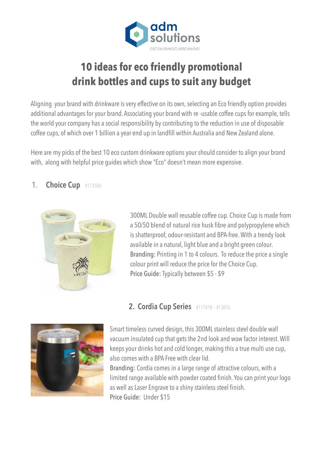

# **10 ideas for eco friendly promotional drink bottles and cups to suit any budget**

Aligning your brand with drinkware is very effective on its own, selecting an Eco friendly option provides additional advantages for your brand. Associating your brand with re -usable coffee cups for example, tells the world your company has a social responsibility by contributing to the reduction in use of disposable coffee cups, of which over 1 billion a year end up in landfill within Australia and New Zealand alone.

Here are my picks of the best 10 eco custom drinkware options your should consider to align your brand with, along with helpful price guides which show "Eco" doesn't mean more expensive.

## 1. **Choice Cup** #113586



300ML Double wall reusable coffee cup. Choice Cup is made from a 50/50 blend of natural rice husk fibre and polypropylene which is shatterproof, odour-resistant and BPA-free. With a trendy look available in a natural, light blue and a bright green colour. Branding: Printing in 1 to 4 colours. To reduce the price a single colour print will reduce the price for the Choice Cup. Price Guide: Typically between \$5 - \$9



# **2. Cordia Cup Series** #117418 - #13876

Smart timeless curved design, this 300ML stainless steel double wall vacuum insulated cup that gets the 2nd look and wow factor interest. Will keeps your drinks hot and cold longer, making this a true multi use cup, also comes with a BPA Free with clear lid.

Branding: Cordia comes in a large range of attractive colours, with a limited range available with powder coated finish. You can print your logo as well as Laser Engrave to a shiny stainless steel finish. Price Guide: Under \$15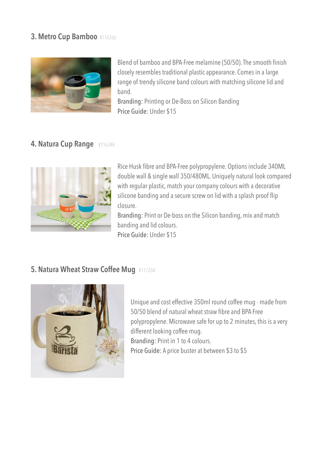## **3. Metro Cup Bamboo** #116266



Blend of bamboo and BPA-Free melamine (50/50). The smooth finish closely resembles traditional plastic appearance. Comes in a large range of trendy silicone band colours with matching silicone lid and band.

Branding: Printing or De-Boss on Silicon Banding Price Guide: Under \$15

## **4. Natura Cup Range** #116348



Rice Husk fibre and BPA-Free polypropylene. Options include 340ML double wall & single wall 350/480ML. Uniquely natural look compared with regular plastic, match your company colours with a decorative silicone banding and a secure screw on lid with a splash proof flip closure.

Branding: Print or De-boss on the Silicon banding, mix and match banding and lid colours. Price Guide: Under \$15

#### **5. Natura Wheat Straw Coffee Mug #117268**



Unique and cost effective 350ml round coffee mug - made from 50/50 blend of natural wheat straw fibre and BPA Free polypropylene. Microwave safe for up to 2 minutes, this is a very different looking coffee mug. Branding: Print in 1 to 4 colours. Price Guide: A price buster at between \$3 to \$5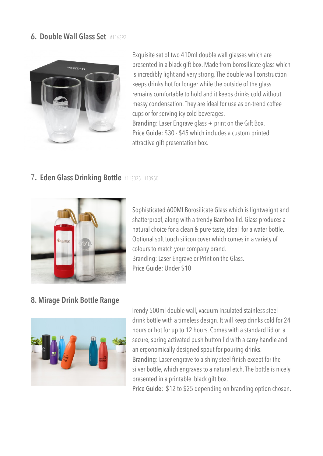#### **6. Double Wall Glass Set** #116392



Exquisite set of two 410ml double wall glasses which are presented in a black gift box. Made from borosilicate glass which is incredibly light and very strong. The double wall construction keeps drinks hot for longer while the outside of the glass remains comfortable to hold and it keeps drinks cold without messy condensation. They are ideal for use as on-trend coffee cups or for serving icy cold beverages. Branding: Laser Engrave glass + print on the Gift Box. Price Guide: \$30 - \$45 which includes a custom printed attractive gift presentation box.

#### 7**. Eden Glass Drinking Bottle** #113025 - 113950



Sophisticated 600Ml Borosilicate Glass which is lightweight and shatterproof, along with a trendy Bamboo lid. Glass produces a natural choice for a clean & pure taste, ideal for a water bottle. Optional soft touch silicon cover which comes in a variety of colours to match your company brand. Branding: Laser Engrave or Print on the Glass. Price Guide: Under \$10

# **8. Mirage Drink Bottle Range**



Trendy 500ml double wall, vacuum insulated stainless steel drink bottle with a timeless design. It will keep drinks cold for 24 hours or hot for up to 12 hours. Comes with a standard lid or a secure, spring activated push button lid with a carry handle and an ergonomically designed spout for pouring drinks. Branding: Laser engrave to a shiny steel finish except for the silver bottle, which engraves to a natural etch. The bottle is nicely presented in a printable black gift box.

Price Guide: \$12 to \$25 depending on branding option chosen.